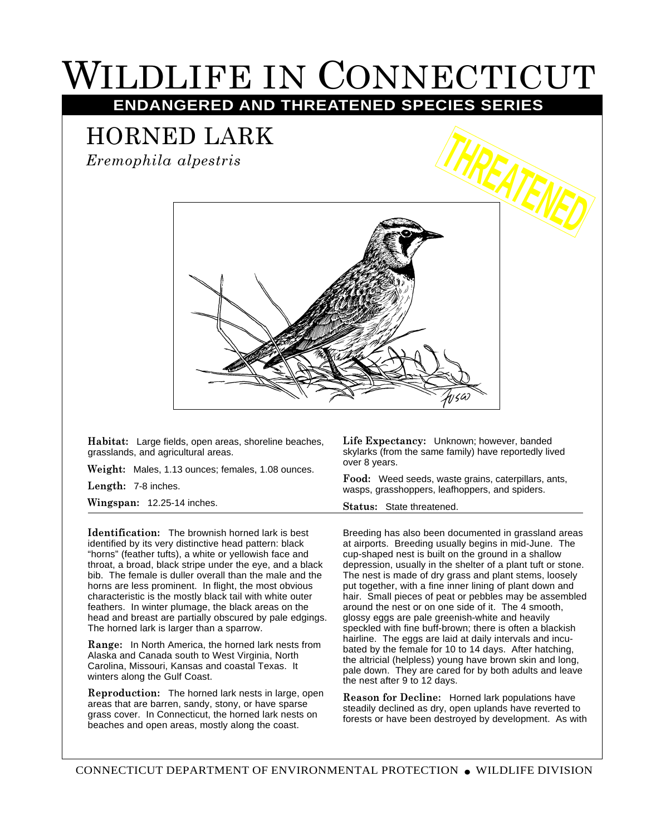## WILDLIFE IN CONNECTICUT

**ENDANGERED AND THREATENED SPECIES SERIES**

## HORNED LARK

*Eremophila alpestris*



**Habitat:** Large fields, open areas, shoreline beaches, grasslands, and agricultural areas.

**Weight:** Males, 1.13 ounces; females, 1.08 ounces.

**Length:** 7-8 inches.

**Wingspan:** 12.25-14 inches.

**Identification:** The brownish horned lark is best identified by its very distinctive head pattern: black "horns" (feather tufts), a white or yellowish face and throat, a broad, black stripe under the eye, and a black bib. The female is duller overall than the male and the horns are less prominent. In flight, the most obvious characteristic is the mostly black tail with white outer feathers. In winter plumage, the black areas on the head and breast are partially obscured by pale edgings. The horned lark is larger than a sparrow.

**Range:** In North America, the horned lark nests from Alaska and Canada south to West Virginia, North Carolina, Missouri, Kansas and coastal Texas. It winters along the Gulf Coast.

**Reproduction:** The horned lark nests in large, open areas that are barren, sandy, stony, or have sparse grass cover. In Connecticut, the horned lark nests on beaches and open areas, mostly along the coast.

**Life Expectancy:** Unknown; however, banded skylarks (from the same family) have reportedly lived over 8 years.

**Food:** Weed seeds, waste grains, caterpillars, ants, wasps, grasshoppers, leafhoppers, and spiders.

**Status:** State threatened.

Breeding has also been documented in grassland areas at airports. Breeding usually begins in mid-June. The cup-shaped nest is built on the ground in a shallow depression, usually in the shelter of a plant tuft or stone. The nest is made of dry grass and plant stems, loosely put together, with a fine inner lining of plant down and hair. Small pieces of peat or pebbles may be assembled around the nest or on one side of it. The 4 smooth, glossy eggs are pale greenish-white and heavily speckled with fine buff-brown; there is often a blackish hairline. The eggs are laid at daily intervals and incubated by the female for 10 to 14 days. After hatching, the altricial (helpless) young have brown skin and long, pale down. They are cared for by both adults and leave the nest after 9 to 12 days.

**Reason for Decline:** Horned lark populations have steadily declined as dry, open uplands have reverted to forests or have been destroyed by development. As with